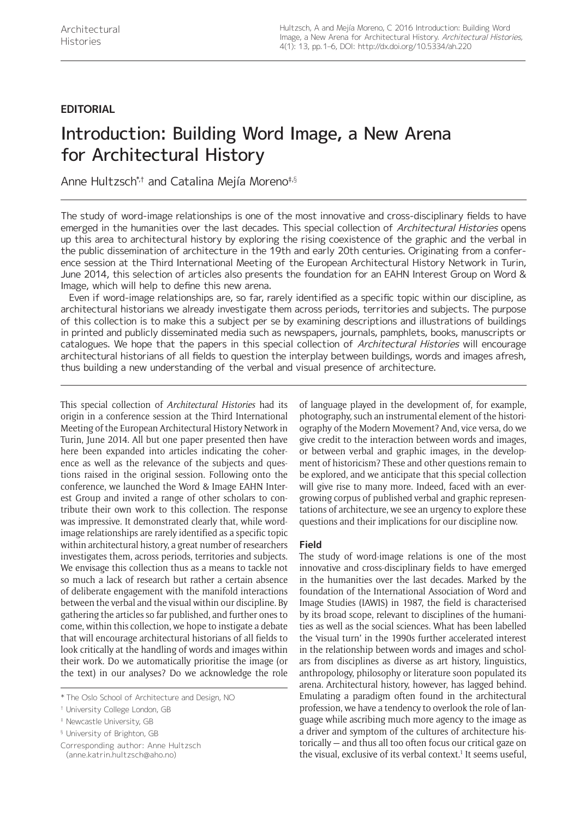# **EDITORIAL**

# Introduction: Building Word Image, a New Arena for Architectural History

Anne Hultzsch\*,† and Catalina Mejía Moreno‡,§

The study of word-image relationships is one of the most innovative and cross-disciplinary fields to have emerged in the humanities over the last decades. This special collection of Architectural Histories opens up this area to architectural history by exploring the rising coexistence of the graphic and the verbal in the public dissemination of architecture in the 19th and early 20th centuries. Originating from a conference session at the Third International Meeting of the European Architectural History Network in Turin, June 2014, this selection of articles also presents the foundation for an EAHN Interest Group on Word & Image, which will help to define this new arena.

Even if word-image relationships are, so far, rarely identified as a specific topic within our discipline, as architectural historians we already investigate them across periods, territories and subjects. The purpose of this collection is to make this a subject per se by examining descriptions and illustrations of buildings in printed and publicly disseminated media such as newspapers, journals, pamphlets, books, manuscripts or catalogues. We hope that the papers in this special collection of Architectural Histories will encourage architectural historians of all fields to question the interplay between buildings, words and images afresh, thus building a new understanding of the verbal and visual presence of architecture.

This special collection of *Architectural Histories* had its origin in a conference session at the Third International Meeting of the European Architectural History Network in Turin, June 2014. All but one paper presented then have here been expanded into articles indicating the coherence as well as the relevance of the subjects and questions raised in the original session. Following onto the conference, we launched the Word & Image EAHN Interest Group and invited a range of other scholars to contribute their own work to this collection. The response was impressive. It demonstrated clearly that, while wordimage relationships are rarely identified as a specific topic within architectural history, a great number of researchers investigates them, across periods, territories and subjects. We envisage this collection thus as a means to tackle not so much a lack of research but rather a certain absence of deliberate engagement with the manifold interactions between the verbal and the visual within our discipline. By gathering the articles so far published, and further ones to come, within this collection, we hope to instigate a debate that will encourage architectural historians of all fields to look critically at the handling of words and images within their work. Do we automatically prioritise the image (or the text) in our analyses? Do we acknowledge the role

Corresponding author: Anne Hultzsch (anne.katrin.hultzsch@aho.no)

of language played in the development of, for example, photography, such an instrumental element of the historiography of the Modern Movement? And, vice versa, do we give credit to the interaction between words and images, or between verbal and graphic images, in the development of historicism? These and other questions remain to be explored, and we anticipate that this special collection will give rise to many more. Indeed, faced with an evergrowing corpus of published verbal and graphic representations of architecture, we see an urgency to explore these questions and their implications for our discipline now.

## **Field**

The study of word-image relations is one of the most innovative and cross-disciplinary fields to have emerged in the humanities over the last decades. Marked by the foundation of the International Association of Word and Image Studies (IAWIS) in 1987, the field is characterised by its broad scope, relevant to disciplines of the humanities as well as the social sciences. What has been labelled the 'visual turn' in the 1990s further accelerated interest in the relationship between words and images and scholars from disciplines as diverse as art history, linguistics, anthropology, philosophy or literature soon populated its arena. Architectural history, however, has lagged behind. Emulating a paradigm often found in the architectural profession, we have a tendency to overlook the role of language while ascribing much more agency to the image as a driver and symptom of the cultures of architecture historically — and thus all too often focus our critical gaze on the visual, exclusive of its verbal context.<sup>1</sup> It seems useful,

<sup>\*</sup> The Oslo School of Architecture and Design, NO

<sup>†</sup> University College London, GB

<sup>‡</sup> Newcastle University, GB

<sup>§</sup> University of Brighton, GB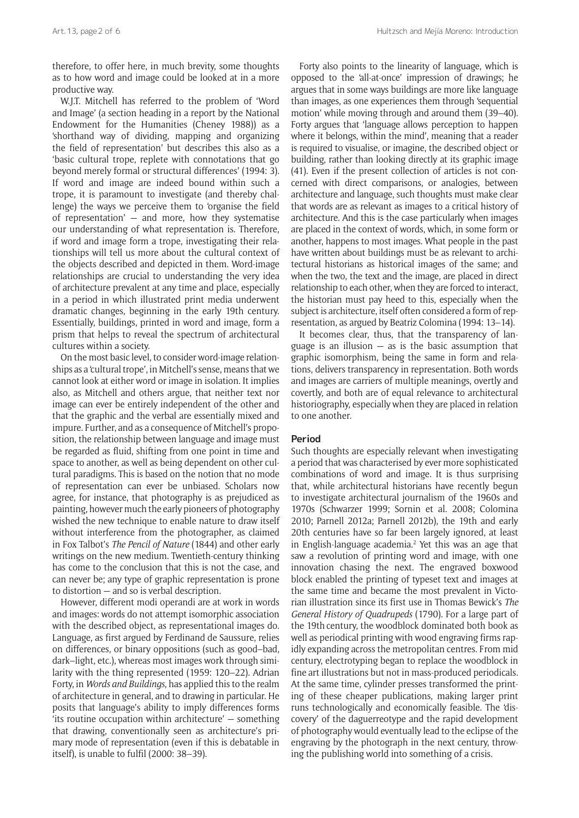therefore, to offer here, in much brevity, some thoughts as to how word and image could be looked at in a more productive way.

W.J.T. Mitchell has referred to the problem of 'Word and Image' (a section heading in a report by the National Endowment for the Humanities (Cheney 1988)) as a 'shorthand way of dividing, mapping and organizing the field of representation' but describes this also as a 'basic cultural trope, replete with connotations that go beyond merely formal or structural differences' (1994: 3). If word and image are indeed bound within such a trope, it is paramount to investigate (and thereby challenge) the ways we perceive them to 'organise the field of representation'  $-$  and more, how they systematise our understanding of what representation is. Therefore, if word and image form a trope, investigating their relationships will tell us more about the cultural context of the objects described and depicted in them. Word-image relationships are crucial to understanding the very idea of architecture prevalent at any time and place, especially in a period in which illustrated print media underwent dramatic changes, beginning in the early 19th century. Essentially, buildings, printed in word and image, form a prism that helps to reveal the spectrum of architectural cultures within a society.

On the most basic level, to consider word-image relationships as a 'cultural trope', in Mitchell's sense, means that we cannot look at either word or image in isolation. It implies also, as Mitchell and others argue, that neither text nor image can ever be entirely independent of the other and that the graphic and the verbal are essentially mixed and impure. Further, and as a consequence of Mitchell's proposition, the relationship between language and image must be regarded as fluid, shifting from one point in time and space to another, as well as being dependent on other cultural paradigms. This is based on the notion that no mode of representation can ever be unbiased. Scholars now agree, for instance, that photography is as prejudiced as painting, however much the early pioneers of photography wished the new technique to enable nature to draw itself without interference from the photographer, as claimed in Fox Talbot's *The Pencil of Nature* (1844) and other early writings on the new medium. Twentieth-century thinking has come to the conclusion that this is not the case, and can never be; any type of graphic representation is prone to distortion — and so is verbal description.

However, different modi operandi are at work in words and images: words do not attempt isomorphic association with the described object, as representational images do. Language, as first argued by Ferdinand de Saussure, relies on differences, or binary oppositions (such as good–bad, dark–light, etc.), whereas most images work through similarity with the thing represented (1959: 120–22). Adrian Forty, in *Words and Buildings*, has applied this to the realm of architecture in general, and to drawing in particular. He posits that language's ability to imply differences forms 'its routine occupation within architecture' — something that drawing, conventionally seen as architecture's primary mode of representation (even if this is debatable in itself), is unable to fulfil (2000: 38–39).

Forty also points to the linearity of language, which is opposed to the 'all-at-once' impression of drawings; he argues that in some ways buildings are more like language than images, as one experiences them through 'sequential motion' while moving through and around them (39–40). Forty argues that 'language allows perception to happen where it belongs, within the mind', meaning that a reader is required to visualise, or imagine, the described object or building, rather than looking directly at its graphic image (41). Even if the present collection of articles is not concerned with direct comparisons, or analogies, between architecture and language, such thoughts must make clear that words are as relevant as images to a critical history of architecture. And this is the case particularly when images are placed in the context of words, which, in some form or another, happens to most images. What people in the past have written about buildings must be as relevant to architectural historians as historical images of the same; and when the two, the text and the image, are placed in direct relationship to each other, when they are forced to interact, the historian must pay heed to this, especially when the subject is architecture, itself often considered a form of representation, as argued by Beatriz Colomina (1994: 13–14).

It becomes clear, thus, that the transparency of language is an illusion  $-$  as is the basic assumption that graphic isomorphism, being the same in form and relations, delivers transparency in representation. Both words and images are carriers of multiple meanings, overtly and covertly, and both are of equal relevance to architectural historiography, especially when they are placed in relation to one another.

# **Period**

Such thoughts are especially relevant when investigating a period that was characterised by ever more sophisticated combinations of word and image. It is thus surprising that, while architectural historians have recently begun to investigate architectural journalism of the 1960s and 1970s (Schwarzer 1999; Sornin et al. 2008; Colomina 2010; Parnell 2012a; Parnell 2012b), the 19th and early 20th centuries have so far been largely ignored, at least in English-language academia.2 Yet this was an age that saw a revolution of printing word and image, with one innovation chasing the next. The engraved boxwood block enabled the printing of typeset text and images at the same time and became the most prevalent in Victorian illustration since its first use in Thomas Bewick's *The General History of Quadrupeds* (1790). For a large part of the 19th century, the woodblock dominated both book as well as periodical printing with wood engraving firms rapidly expanding across the metropolitan centres. From mid century, electrotyping began to replace the woodblock in fine art illustrations but not in mass-produced periodicals. At the same time, cylinder presses transformed the printing of these cheaper publications, making larger print runs technologically and economically feasible. The 'discovery' of the daguerreotype and the rapid development of photography would eventually lead to the eclipse of the engraving by the photograph in the next century, throwing the publishing world into something of a crisis.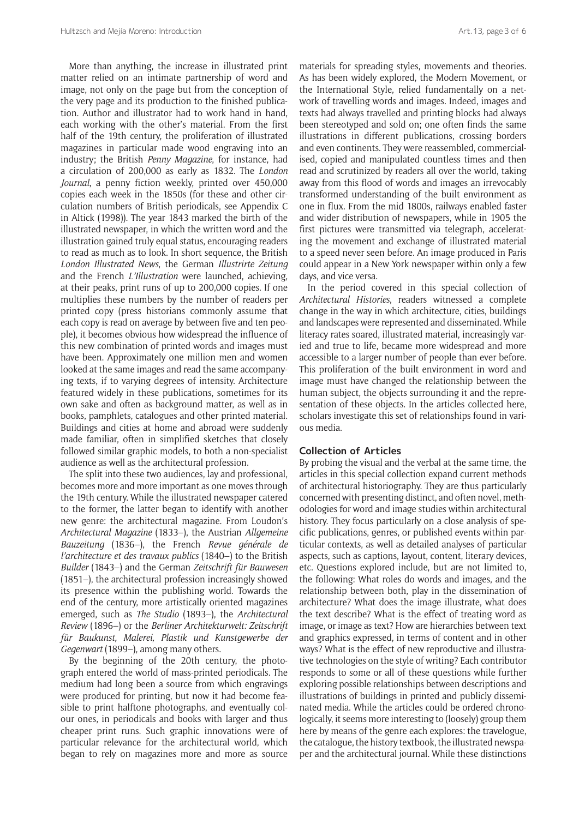More than anything, the increase in illustrated print matter relied on an intimate partnership of word and image, not only on the page but from the conception of the very page and its production to the finished publication. Author and illustrator had to work hand in hand, each working with the other's material. From the first half of the 19th century, the proliferation of illustrated magazines in particular made wood engraving into an industry; the British *Penny Magazine*, for instance, had a circulation of 200,000 as early as 1832. The *London Journal*, a penny fiction weekly, printed over 450,000 copies each week in the 1850s (for these and other circulation numbers of British periodicals, see Appendix C in Altick (1998)). The year 1843 marked the birth of the illustrated newspaper, in which the written word and the illustration gained truly equal status, encouraging readers to read as much as to look. In short sequence, the British *London Illustrated News*, the German *Illustrirte Zeitung* and the French *L'Illustration* were launched, achieving, at their peaks, print runs of up to 200,000 copies. If one multiplies these numbers by the number of readers per printed copy (press historians commonly assume that each copy is read on average by between five and ten people), it becomes obvious how widespread the influence of this new combination of printed words and images must have been. Approximately one million men and women looked at the same images and read the same accompanying texts, if to varying degrees of intensity. Architecture featured widely in these publications, sometimes for its own sake and often as background matter, as well as in books, pamphlets, catalogues and other printed material. Buildings and cities at home and abroad were suddenly made familiar, often in simplified sketches that closely followed similar graphic models, to both a non-specialist audience as well as the architectural profession.

The split into these two audiences, lay and professional, becomes more and more important as one moves through the 19th century. While the illustrated newspaper catered to the former, the latter began to identify with another new genre: the architectural magazine. From Loudon's *Architectural Magazine* (1833–), the Austrian *Allgemeine Bauzeitung* (1836–), the French *Revue générale de l'architecture et des travaux publics* (1840–) to the British *Builder* (1843–) and the German *Zeitschrift für Bauwesen* (1851–), the architectural profession increasingly showed its presence within the publishing world. Towards the end of the century, more artistically oriented magazines emerged, such as *The Studio* (1893–), the *Architectural Review* (1896–) or the *Berliner Architekturwelt: Zeitschrift für Baukunst, Malerei, Plastik und Kunstgewerbe der Gegenwart* (1899–), among many others.

By the beginning of the 20th century, the photograph entered the world of mass-printed periodicals. The medium had long been a source from which engravings were produced for printing, but now it had become feasible to print halftone photographs, and eventually colour ones, in periodicals and books with larger and thus cheaper print runs. Such graphic innovations were of particular relevance for the architectural world, which began to rely on magazines more and more as source

materials for spreading styles, movements and theories. As has been widely explored, the Modern Movement, or the International Style, relied fundamentally on a network of travelling words and images. Indeed, images and texts had always travelled and printing blocks had always been stereotyped and sold on; one often finds the same illustrations in different publications, crossing borders and even continents. They were reassembled, commercialised, copied and manipulated countless times and then read and scrutinized by readers all over the world, taking away from this flood of words and images an irrevocably transformed understanding of the built environment as one in flux. From the mid 1800s, railways enabled faster and wider distribution of newspapers, while in 1905 the first pictures were transmitted via telegraph, accelerating the movement and exchange of illustrated material to a speed never seen before. An image produced in Paris could appear in a New York newspaper within only a few days, and vice versa.

In the period covered in this special collection of *Architectural Histories*, readers witnessed a complete change in the way in which architecture, cities, buildings and landscapes were represented and disseminated. While literacy rates soared, illustrated material, increasingly varied and true to life, became more widespread and more accessible to a larger number of people than ever before. This proliferation of the built environment in word and image must have changed the relationship between the human subject, the objects surrounding it and the representation of these objects. In the articles collected here, scholars investigate this set of relationships found in various media.

# **Collection of Articles**

By probing the visual and the verbal at the same time, the articles in this special collection expand current methods of architectural historiography. They are thus particularly concerned with presenting distinct, and often novel, methodologies for word and image studies within architectural history. They focus particularly on a close analysis of specific publications, genres, or published events within particular contexts, as well as detailed analyses of particular aspects, such as captions, layout, content, literary devices, etc. Questions explored include, but are not limited to, the following: What roles do words and images, and the relationship between both, play in the dissemination of architecture? What does the image illustrate, what does the text describe? What is the effect of treating word as image, or image as text? How are hierarchies between text and graphics expressed, in terms of content and in other ways? What is the effect of new reproductive and illustrative technologies on the style of writing? Each contributor responds to some or all of these questions while further exploring possible relationships between descriptions and illustrations of buildings in printed and publicly disseminated media. While the articles could be ordered chronologically, it seems more interesting to (loosely) group them here by means of the genre each explores: the travelogue, the catalogue, the history textbook, the illustrated newspaper and the architectural journal. While these distinctions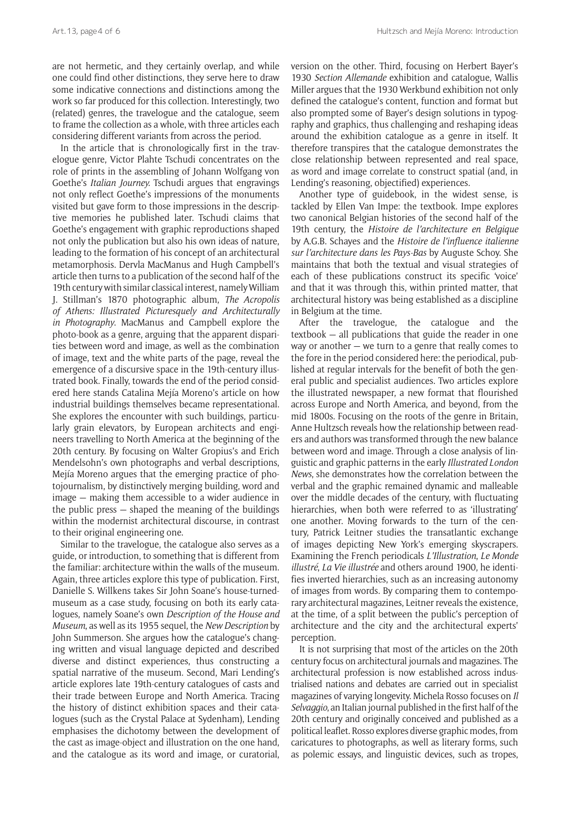are not hermetic, and they certainly overlap, and while one could find other distinctions, they serve here to draw some indicative connections and distinctions among the work so far produced for this collection. Interestingly, two (related) genres, the travelogue and the catalogue, seem to frame the collection as a whole, with three articles each considering different variants from across the period.

In the article that is chronologically first in the travelogue genre, Victor Plahte Tschudi concentrates on the role of prints in the assembling of Johann Wolfgang von Goethe's *Italian Journey.* Tschudi argues that engravings not only reflect Goethe's impressions of the monuments visited but gave form to those impressions in the descriptive memories he published later. Tschudi claims that Goethe's engagement with graphic reproductions shaped not only the publication but also his own ideas of nature, leading to the formation of his concept of an architectural metamorphosis. Dervla MacManus and Hugh Campbell's article then turns to a publication of the second half of the 19th century with similar classical interest, namely William J. Stillman's 1870 photographic album, *The Acropolis of Athens: Illustrated Picturesquely and Architecturally in Photography*. MacManus and Campbell explore the photo-book as a genre, arguing that the apparent disparities between word and image, as well as the combination of image, text and the white parts of the page, reveal the emergence of a discursive space in the 19th-century illustrated book. Finally, towards the end of the period considered here stands Catalina Mejía Moreno's article on how industrial buildings themselves became representational. She explores the encounter with such buildings, particularly grain elevators, by European architects and engineers travelling to North America at the beginning of the 20th century. By focusing on Walter Gropius's and Erich Mendelsohn's own photographs and verbal descriptions, Mejía Moreno argues that the emerging practice of photojournalism, by distinctively merging building, word and image — making them accessible to a wider audience in the public press — shaped the meaning of the buildings within the modernist architectural discourse, in contrast to their original engineering one.

Similar to the travelogue, the catalogue also serves as a guide, or introduction, to something that is different from the familiar: architecture within the walls of the museum. Again, three articles explore this type of publication. First, Danielle S. Willkens takes Sir John Soane's house-turnedmuseum as a case study, focusing on both its early catalogues, namely Soane's own *Description of the House and Museum*, as well as its 1955 sequel, the *New Description* by John Summerson. She argues how the catalogue's changing written and visual language depicted and described diverse and distinct experiences, thus constructing a spatial narrative of the museum. Second, Mari Lending's article explores late 19th-century catalogues of casts and their trade between Europe and North America. Tracing the history of distinct exhibition spaces and their catalogues (such as the Crystal Palace at Sydenham), Lending emphasises the dichotomy between the development of the cast as image-object and illustration on the one hand, and the catalogue as its word and image, or curatorial,

version on the other. Third, focusing on Herbert Bayer's 1930 *Section Allemande* exhibition and catalogue, Wallis Miller argues that the 1930 Werkbund exhibition not only defined the catalogue's content, function and format but also prompted some of Bayer's design solutions in typography and graphics, thus challenging and reshaping ideas around the exhibition catalogue as a genre in itself. It therefore transpires that the catalogue demonstrates the close relationship between represented and real space, as word and image correlate to construct spatial (and, in Lending's reasoning, objectified) experiences.

Another type of guidebook, in the widest sense, is tackled by Ellen Van Impe: the textbook. Impe explores two canonical Belgian histories of the second half of the 19th century, the *Histoire de l'architecture en Belgique*  by A.G.B. Schayes and the *Histoire de l'influence italienne sur l'architecture dans les Pays-Bas* by Auguste Schoy. She maintains that both the textual and visual strategies of each of these publications construct its specific 'voice' and that it was through this, within printed matter, that architectural history was being established as a discipline in Belgium at the time.

After the travelogue, the catalogue and the textbook — all publications that guide the reader in one way or another — we turn to a genre that really comes to the fore in the period considered here: the periodical, published at regular intervals for the benefit of both the general public and specialist audiences. Two articles explore the illustrated newspaper, a new format that flourished across Europe and North America, and beyond, from the mid 1800s. Focusing on the roots of the genre in Britain, Anne Hultzsch reveals how the relationship between readers and authors was transformed through the new balance between word and image. Through a close analysis of linguistic and graphic patterns in the early *Illustrated London News*, she demonstrates how the correlation between the verbal and the graphic remained dynamic and malleable over the middle decades of the century, with fluctuating hierarchies, when both were referred to as 'illustrating' one another. Moving forwards to the turn of the century, Patrick Leitner studies the transatlantic exchange of images depicting New York's emerging skyscrapers. Examining the French periodicals *L'Illustration*, *Le Monde illustré*, *La Vie illustrée* and others around 1900, he identifies inverted hierarchies, such as an increasing autonomy of images from words. By comparing them to contemporary architectural magazines, Leitner reveals the existence, at the time, of a split between the public's perception of architecture and the city and the architectural experts' perception.

It is not surprising that most of the articles on the 20th century focus on architectural journals and magazines. The architectural profession is now established across industrialised nations and debates are carried out in specialist magazines of varying longevity. Michela Rosso focuses on *Il Selvaggio*, an Italian journal published in the first half of the 20th century and originally conceived and published as a political leaflet. Rosso explores diverse graphic modes, from caricatures to photographs, as well as literary forms, such as polemic essays, and linguistic devices, such as tropes,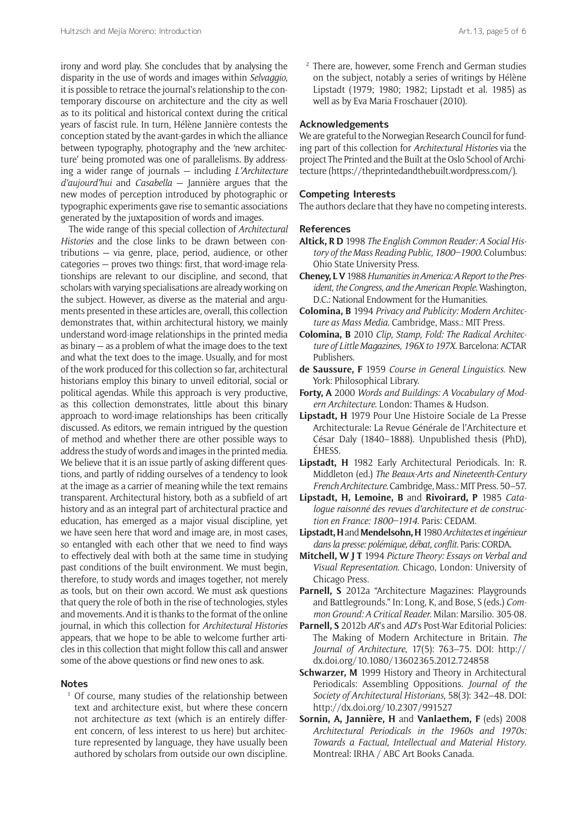irony and word play. She concludes that by analysing the disparity in the use of words and images within *Selvaggio*, it is possible to retrace the journal's relationship to the contemporary discourse on architecture and the city as well as to its political and historical context during the critical years of fascist rule. In turn, Hélène Jannière contests the conception stated by the avant-gardes in which the alliance between typography, photography and the 'new architecture' being promoted was one of parallelisms. By addressing a wider range of journals — including *L'Architecture d'aujourd'hui* and *Casabella* — Jannière argues that the new modes of perception introduced by photographic or typographic experiments gave rise to semantic associations generated by the juxtaposition of words and images.

The wide range of this special collection of *Architectural Histories* and the close links to be drawn between contributions — via genre, place, period, audience, or other categories — proves two things: first, that word-image relationships are relevant to our discipline, and second, that scholars with varying specialisations are already working on the subject. However, as diverse as the material and arguments presented in these articles are, overall, this collection demonstrates that, within architectural history, we mainly understand word-image relationships in the printed media as binary — as a problem of what the image does to the text and what the text does to the image. Usually, and for most of the work produced for this collection so far, architectural historians employ this binary to unveil editorial, social or political agendas. While this approach is very productive, as this collection demonstrates, little about this binary approach to word-image relationships has been critically discussed. As editors, we remain intrigued by the question of method and whether there are other possible ways to address the study of words and images in the printed media. We believe that it is an issue partly of asking different questions, and partly of ridding ourselves of a tendency to look at the image as a carrier of meaning while the text remains transparent. Architectural history, both as a subfield of art history and as an integral part of architectural practice and education, has emerged as a major visual discipline, yet we have seen here that word and image are, in most cases, so entangled with each other that we need to find ways to effectively deal with both at the same time in studying past conditions of the built environment. We must begin, therefore, to study words and images together, not merely as tools, but on their own accord. We must ask questions that query the role of both in the rise of technologies, styles and movements. And it is thanks to the format of the online journal, in which this collection for *Architectural Histories* appears, that we hope to be able to welcome further articles in this collection that might follow this call and answer some of the above questions or find new ones to ask.

# **Notes**

Of course, many studies of the relationship between text and architecture exist, but where these concern not architecture *as* text (which is an entirely different concern, of less interest to us here) but architecture represented by language, they have usually been authored by scholars from outside our own discipline.

<sup>2</sup> There are, however, some French and German studies on the subject, notably a series of writings by Hélène Lipstadt (1979; 1980; 1982; Lipstadt et al. 1985) as well as by Eva Maria Froschauer (2010).

#### **Acknowledgements**

We are grateful to the Norwegian Research Council for funding part of this collection for *Architectural Histories* via the project The Printed and the Built at the Oslo School of Architecture (https://theprintedandthebuilt.wordpress.com/).

#### **Competing Interests**

The authors declare that they have no competing interests.

# **References**

- **Altick, R D** 1998 *The English Common Reader: A Social History of the Mass Reading Public, 1800–1900*. Columbus: Ohio State University Press.
- **Cheney, L V** 1988 *Humanities in America: A Report to the President, the Congress, and the American People*. Washington, D.C.: National Endowment for the Humanities.
- **Colomina, B** 1994 *Privacy and Publicity: Modern Architecture as Mass Media*. Cambridge, Mass.: MIT Press.
- **Colomina, B** 2010 *Clip, Stamp, Fold: The Radical Architecture of Little Magazines, 196X to 197X*. Barcelona: ACTAR Publishers.
- **de Saussure, F** 1959 *Course in General Linguistics*. New York: Philosophical Library.
- **Forty, A** 2000 *Words and Buildings: A Vocabulary of Modern Architecture*. London: Thames & Hudson.
- **Lipstadt, H** 1979 Pour Une Histoire Sociale de La Presse Architecturale: La Revue Générale de l'Architecture et César Daly (1840–1888). Unpublished thesis (PhD), ÉHESS.
- **Lipstadt, H** 1982 Early Architectural Periodicals. In: R. Middleton (ed.) *The Beaux-Arts and Nineteenth-Century French Architecture*. Cambridge, Mass.: MIT Press. 50–57.
- **Lipstadt, H, Lemoine, B** and **Rivoirard, P** 1985 *Catalogue raisonné des revues d'architecture et de construction en France: 1800–1914*. Paris: CEDAM.
- **Lipstadt, H** and **Mendelsohn, H** 1980 *Architectes et ingénieur dans la presse: polémique, débat, conflit*. Paris: CORDA.
- **Mitchell, W J T** 1994 *Picture Theory: Essays on Verbal and Visual Representation*. Chicago, London: University of Chicago Press.
- **Parnell, S** 2012a "Architecture Magazines: Playgrounds and Battlegrounds." In: Long, K, and Bose, S (eds.) *Common Ground: A Critical Reader.* Milan: Marsilio. 305-08.
- **Parnell, S** 2012b *AR*'s and *AD*'s Post-War Editorial Policies: The Making of Modern Architecture in Britain. *The Journal of Architecture*, 17(5): 763–75. DOI: http:// dx.doi.org/10.1080/13602365.2012.724858
- **Schwarzer, M** 1999 History and Theory in Architectural Periodicals: Assembling Oppositions. *Journal of the Society of Architectural Historians*, 58(3): 342–48. DOI: http://dx.doi.org/10.2307/991527
- **Sornin, A, Jannière, H** and **Vanlaethem, F** (eds) 2008 *Architectural Periodicals in the 1960s and 1970s: Towards a Factual, Intellectual and Material History*. Montreal: IRHA / ABC Art Books Canada.